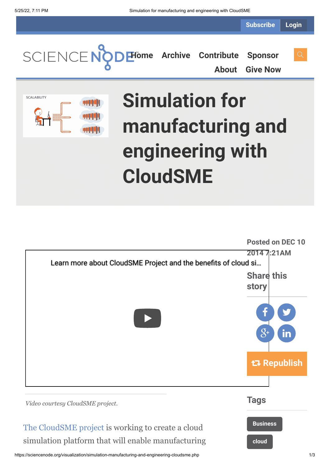**Subscribe Login**

**[Home](https://sciencenode.org/) [Archive](https://sciencenode.org/archive/index.php) [Contribute](https://sciencenode.org/contribute/index.php) [Sponsor](https://sciencenode.org/sponsor/index.php)**

**[About](https://sciencenode.org/about/index.php) [Give Now](https://sciencenode.org/donate/index.php)**



# **Simulation for manufacturing and engineering with CloudSME**

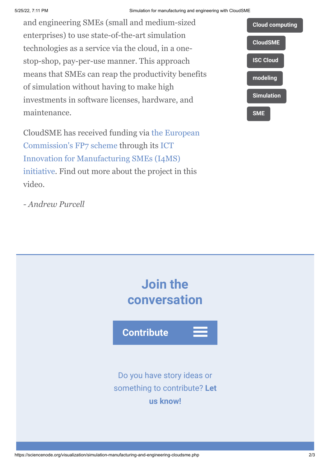#### 5/25/22, 7:11 PM Simulation for manufacturing and engineering with CloudSME

and engineering SMEs (small and medium-sized enterprises) to use state-of-the-art simulation technologies as a service via the cloud, in a onestop-shop, pay-per-use manner. This approach means that SMEs can reap the productivity benefits of simulation without having to make high investments in software licenses, hardware, and maintenance.

[CloudSME has received funding via the European](http://cordis.europa.eu/fp7/home_en.html) Commission's FP7 scheme through its ICT Innovation for Manufacturing SMEs (I4MS) [initiative. Find out more about the project in](http://i4ms.eu/i4ms/i4ms.php) this video.

*- Andrew Purcell*